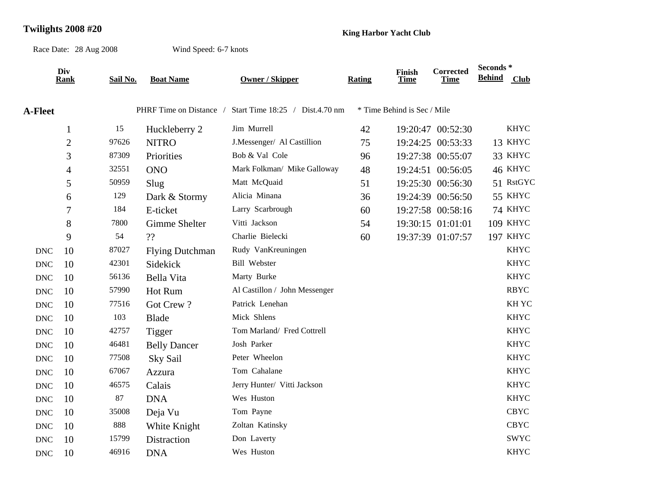## **Twilights 2008 #20 King Harbor Yacht Club**

Race Date: 28 Aug 2008

Wind Speed: 6-7 knots

|                           | Div<br><b>Rank</b> | Sail No. | <b>Boat Name</b>        | <b>Owner / Skipper</b>          | Rating | Finish<br>Time              | Corrected<br>Time | Seconds*<br><b>Behind</b> | <b>Club</b>     |
|---------------------------|--------------------|----------|-------------------------|---------------------------------|--------|-----------------------------|-------------------|---------------------------|-----------------|
| <b>A-Fleet</b>            |                    |          | PHRF Time on Distance / | Start Time 18:25 / Dist.4.70 nm |        | * Time Behind is Sec / Mile |                   |                           |                 |
|                           | $\mathbf{1}$       | 15       | Huckleberry 2           | Jim Murrell                     | 42     |                             | 19:20:47 00:52:30 |                           | <b>KHYC</b>     |
|                           | $\overline{2}$     | 97626    | <b>NITRO</b>            | J.Messenger/ Al Castillion      | 75     |                             | 19:24:25 00:53:33 |                           | 13 KHYC         |
|                           | 3                  | 87309    | Priorities              | Bob & Val Cole                  | 96     |                             | 19:27:38 00:55:07 |                           | 33 KHYC         |
|                           | $\overline{4}$     | 32551    | <b>ONO</b>              | Mark Folkman/ Mike Galloway     | 48     |                             | 19:24:51 00:56:05 |                           | 46 KHYC         |
|                           | 5                  | 50959    | Slug                    | Matt McQuaid                    | 51     |                             | 19:25:30 00:56:30 |                           | 51 RstGYC       |
|                           | 6                  | 129      | Dark & Stormy           | Alicia Minana                   | 36     |                             | 19:24:39 00:56:50 |                           | 55 KHYC         |
|                           | 7                  | 184      | E-ticket                | Larry Scarbrough                | 60     |                             | 19:27:58 00:58:16 |                           | 74 KHYC         |
|                           | 8                  | 7800     | Gimme Shelter           | Vitti Jackson                   | 54     |                             | 19:30:15 01:01:01 |                           | <b>109 KHYC</b> |
|                           | 9                  | 54       | ??                      | Charlie Bielecki                | 60     |                             | 19:37:39 01:07:57 |                           | 197 KHYC        |
| <b>DNC</b>                | 10                 | 87027    | <b>Flying Dutchman</b>  | Rudy VanKreuningen              |        |                             |                   |                           | <b>KHYC</b>     |
| <b>DNC</b>                | 10                 | 42301    | Sidekick                | Bill Webster                    |        |                             |                   |                           | <b>KHYC</b>     |
| <b>DNC</b>                | 10                 | 56136    | Bella Vita              | Marty Burke                     |        |                             |                   |                           | <b>KHYC</b>     |
| <b>DNC</b>                | 10                 | 57990    | Hot Rum                 | Al Castillon / John Messenger   |        |                             |                   |                           | <b>RBYC</b>     |
| <b>DNC</b>                | 10                 | 77516    | Got Crew?               | Patrick Lenehan                 |        |                             |                   |                           | <b>KHYC</b>     |
| <b>DNC</b>                | 10                 | 103      | <b>Blade</b>            | Mick Shlens                     |        |                             |                   |                           | <b>KHYC</b>     |
| <b>DNC</b>                | 10                 | 42757    | Tigger                  | Tom Marland/ Fred Cottrell      |        |                             |                   |                           | <b>KHYC</b>     |
| <b>DNC</b>                | 10                 | 46481    | <b>Belly Dancer</b>     | Josh Parker                     |        |                             |                   |                           | <b>KHYC</b>     |
| <b>DNC</b>                | 10                 | 77508    | Sky Sail                | Peter Wheelon                   |        |                             |                   |                           | <b>KHYC</b>     |
| <b>DNC</b>                | 10                 | 67067    | Azzura                  | Tom Cahalane                    |        |                             |                   |                           | <b>KHYC</b>     |
| <b>DNC</b>                | 10                 | 46575    | Calais                  | Jerry Hunter/ Vitti Jackson     |        |                             |                   |                           | <b>KHYC</b>     |
| $\ensuremath{\text{DNC}}$ | 10                 | 87       | <b>DNA</b>              | Wes Huston                      |        |                             |                   |                           | <b>KHYC</b>     |
| <b>DNC</b>                | 10                 | 35008    | Deja Vu                 | Tom Payne                       |        |                             |                   |                           | <b>CBYC</b>     |
| <b>DNC</b>                | 10                 | 888      | White Knight            | Zoltan Katinsky                 |        |                             |                   |                           | <b>CBYC</b>     |
| <b>DNC</b>                | 10                 | 15799    | Distraction             | Don Laverty                     |        |                             |                   |                           | <b>SWYC</b>     |
| <b>DNC</b>                | 10                 | 46916    | <b>DNA</b>              | Wes Huston                      |        |                             |                   |                           | <b>KHYC</b>     |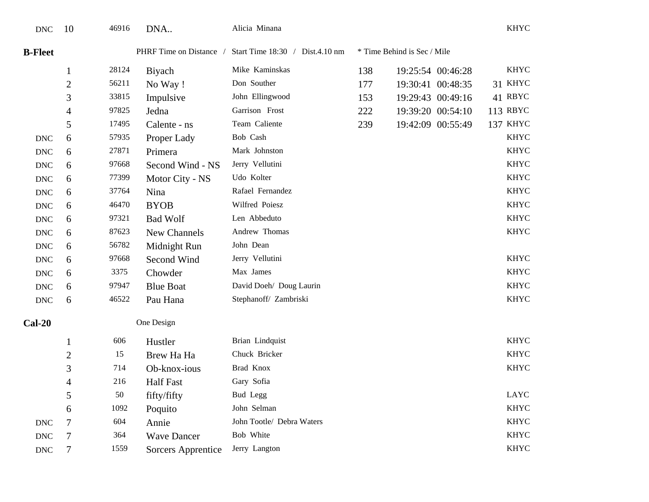| <b>DNC</b>                | 10           | 46916 | DNA                     | Alicia Minana                   |     |                             | <b>KHYC</b> |
|---------------------------|--------------|-------|-------------------------|---------------------------------|-----|-----------------------------|-------------|
| <b>B-Fleet</b>            |              |       | PHRF Time on Distance / | Start Time 18:30 / Dist.4.10 nm |     | * Time Behind is Sec / Mile |             |
|                           | 1            | 28124 | <b>B</b> iyach          | Mike Kaminskas                  | 138 | 19:25:54 00:46:28           | <b>KHYC</b> |
|                           | $\mathbf{2}$ | 56211 | No Way!                 | Don Souther                     | 177 | 19:30:41 00:48:35           | 31 KHYC     |
|                           | 3            | 33815 | Impulsive               | John Ellingwood                 | 153 | 19:29:43 00:49:16           | 41 RBYC     |
|                           | 4            | 97825 | Jedna                   | Garrison Frost                  | 222 | 19:39:20 00:54:10           | 113 RBYC    |
|                           | 5            | 17495 | Calente - ns            | Team Caliente                   | 239 | 19:42:09 00:55:49           | 137 KHYC    |
| <b>DNC</b>                | 6            | 57935 | Proper Lady             | Bob Cash                        |     |                             | <b>KHYC</b> |
| <b>DNC</b>                | 6            | 27871 | Primera                 | Mark Johnston                   |     |                             | <b>KHYC</b> |
| <b>DNC</b>                | 6            | 97668 | Second Wind - NS        | Jerry Vellutini                 |     |                             | <b>KHYC</b> |
| <b>DNC</b>                | 6            | 77399 | Motor City - NS         | Udo Kolter                      |     |                             | <b>KHYC</b> |
| <b>DNC</b>                | 6            | 37764 | Nina                    | Rafael Fernandez                |     |                             | <b>KHYC</b> |
| <b>DNC</b>                | 6            | 46470 | <b>BYOB</b>             | Wilfred Poiesz                  |     |                             | <b>KHYC</b> |
| <b>DNC</b>                | 6            | 97321 | <b>Bad Wolf</b>         | Len Abbeduto                    |     |                             | <b>KHYC</b> |
| <b>DNC</b>                | 6            | 87623 | New Channels            | Andrew Thomas                   |     |                             | <b>KHYC</b> |
| <b>DNC</b>                | 6            | 56782 | Midnight Run            | John Dean                       |     |                             |             |
| <b>DNC</b>                | 6            | 97668 | Second Wind             | Jerry Vellutini                 |     |                             | <b>KHYC</b> |
| <b>DNC</b>                | 6            | 3375  | Chowder                 | Max James                       |     |                             | <b>KHYC</b> |
| <b>DNC</b>                | 6            | 97947 | <b>Blue Boat</b>        | David Doeh/ Doug Laurin         |     |                             | <b>KHYC</b> |
| <b>DNC</b>                | 6            | 46522 | Pau Hana                | Stephanoff/ Zambriski           |     |                             | <b>KHYC</b> |
| $Cal-20$                  |              |       | One Design              |                                 |     |                             |             |
|                           | 1            | 606   | Hustler                 | Brian Lindquist                 |     |                             | <b>KHYC</b> |
|                           | $\mathbf{2}$ | 15    | Brew Ha Ha              | Chuck Bricker                   |     |                             | <b>KHYC</b> |
|                           | 3            | 714   | Ob-knox-ious            | Brad Knox                       |     |                             | <b>KHYC</b> |
|                           | 4            | 216   | <b>Half Fast</b>        | Gary Sofia                      |     |                             |             |
|                           | 5            | 50    | fifty/fifty             | Bud Legg                        |     |                             | LAYC        |
|                           | 6            | 1092  | Poquito                 | John Selman                     |     |                             | <b>KHYC</b> |
| <b>DNC</b>                | 7            | 604   | Annie                   | John Tootle/ Debra Waters       |     |                             | <b>KHYC</b> |
| <b>DNC</b>                | 7            | 364   | <b>Wave Dancer</b>      | Bob White                       |     |                             | <b>KHYC</b> |
| $\ensuremath{\text{DNC}}$ | 7            | 1559  | Sorcers Apprentice      | Jerry Langton                   |     |                             | <b>KHYC</b> |